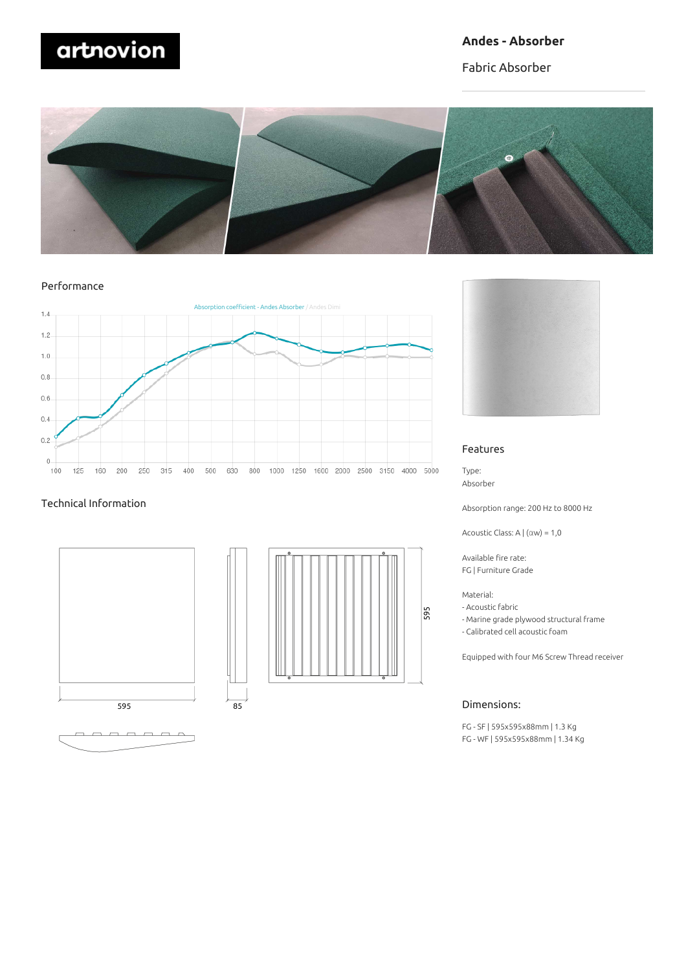# artnovion

# **Andes - Absorber**

Fabric Absorber



Performance



#### Technical Information







#### Features

Type: Absorber

Absorption range: 200 Hz to 8000 Hz

Acoustic Class: A | (αw) = 1,0

Available fire rate: FG | Furniture Grade

Material:

- Acoustic fabric
- Marine grade plywood structural frame
- Calibrated cell acoustic foam

Equipped with four M6 Screw Thread receiver

#### Dimensions:

FG - SF | 595x595x88mm | 1.3 Kg FG - WF | 595x595x88mm | 1.34 Kg